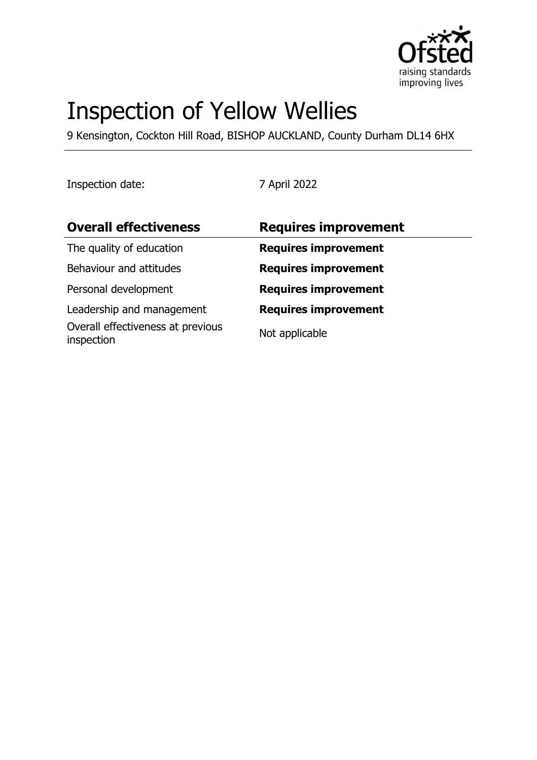

# Inspection of Yellow Wellies

9 Kensington, Cockton Hill Road, BISHOP AUCKLAND, County Durham DL14 6HX

Inspection date: 7 April 2022

| <b>Overall effectiveness</b>                    | <b>Requires improvement</b> |
|-------------------------------------------------|-----------------------------|
| The quality of education                        | <b>Requires improvement</b> |
| Behaviour and attitudes                         | <b>Requires improvement</b> |
| Personal development                            | <b>Requires improvement</b> |
| Leadership and management                       | <b>Requires improvement</b> |
| Overall effectiveness at previous<br>inspection | Not applicable              |
|                                                 |                             |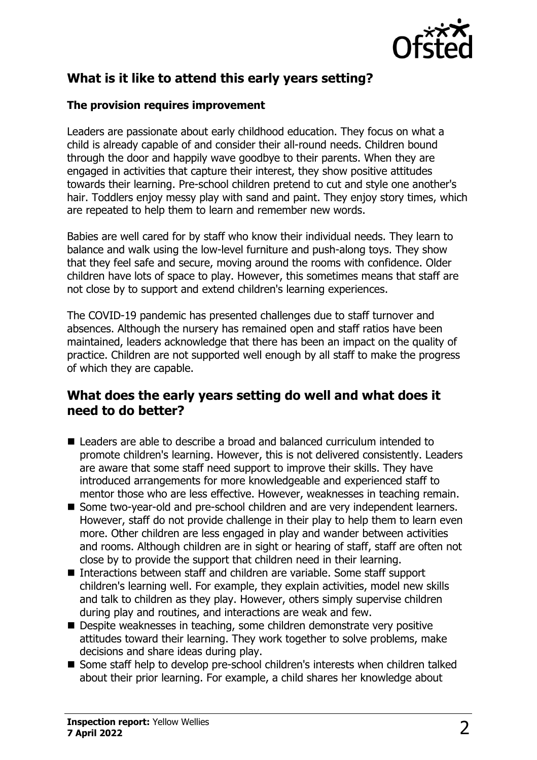

# **What is it like to attend this early years setting?**

## **The provision requires improvement**

Leaders are passionate about early childhood education. They focus on what a child is already capable of and consider their all-round needs. Children bound through the door and happily wave goodbye to their parents. When they are engaged in activities that capture their interest, they show positive attitudes towards their learning. Pre-school children pretend to cut and style one another's hair. Toddlers enjoy messy play with sand and paint. They enjoy story times, which are repeated to help them to learn and remember new words.

Babies are well cared for by staff who know their individual needs. They learn to balance and walk using the low-level furniture and push-along toys. They show that they feel safe and secure, moving around the rooms with confidence. Older children have lots of space to play. However, this sometimes means that staff are not close by to support and extend children's learning experiences.

The COVID-19 pandemic has presented challenges due to staff turnover and absences. Although the nursery has remained open and staff ratios have been maintained, leaders acknowledge that there has been an impact on the quality of practice. Children are not supported well enough by all staff to make the progress of which they are capable.

## **What does the early years setting do well and what does it need to do better?**

- Leaders are able to describe a broad and balanced curriculum intended to promote children's learning. However, this is not delivered consistently. Leaders are aware that some staff need support to improve their skills. They have introduced arrangements for more knowledgeable and experienced staff to mentor those who are less effective. However, weaknesses in teaching remain.
- Some two-year-old and pre-school children and are very independent learners. However, staff do not provide challenge in their play to help them to learn even more. Other children are less engaged in play and wander between activities and rooms. Although children are in sight or hearing of staff, staff are often not close by to provide the support that children need in their learning.
- Interactions between staff and children are variable. Some staff support children's learning well. For example, they explain activities, model new skills and talk to children as they play. However, others simply supervise children during play and routines, and interactions are weak and few.
- Despite weaknesses in teaching, some children demonstrate very positive attitudes toward their learning. They work together to solve problems, make decisions and share ideas during play.
- Some staff help to develop pre-school children's interests when children talked about their prior learning. For example, a child shares her knowledge about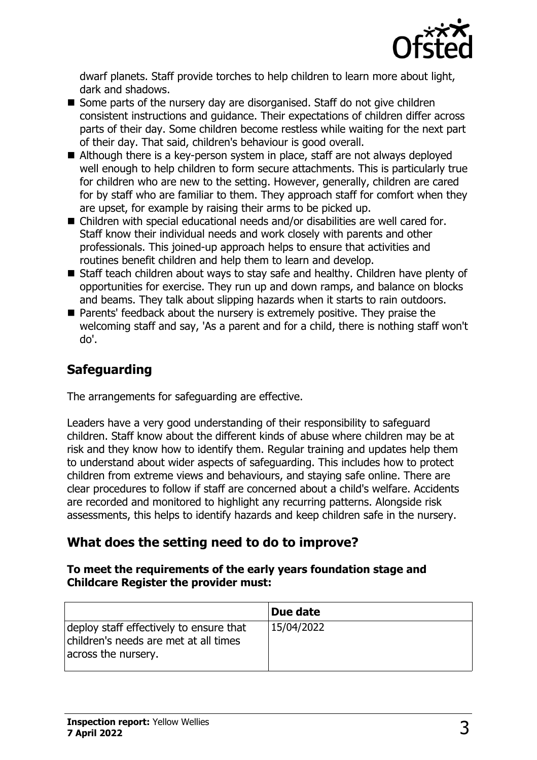

dwarf planets. Staff provide torches to help children to learn more about light, dark and shadows.

- $\blacksquare$  Some parts of the nursery day are disorganised. Staff do not give children consistent instructions and guidance. Their expectations of children differ across parts of their day. Some children become restless while waiting for the next part of their day. That said, children's behaviour is good overall.
- $\blacksquare$  Although there is a key-person system in place, staff are not always deployed well enough to help children to form secure attachments. This is particularly true for children who are new to the setting. However, generally, children are cared for by staff who are familiar to them. They approach staff for comfort when they are upset, for example by raising their arms to be picked up.
- $\blacksquare$  Children with special educational needs and/or disabilities are well cared for. Staff know their individual needs and work closely with parents and other professionals. This joined-up approach helps to ensure that activities and routines benefit children and help them to learn and develop.
- Staff teach children about ways to stay safe and healthy. Children have plenty of opportunities for exercise. They run up and down ramps, and balance on blocks and beams. They talk about slipping hazards when it starts to rain outdoors.
- Parents' feedback about the nursery is extremely positive. They praise the welcoming staff and say, 'As a parent and for a child, there is nothing staff won't do'.

# **Safeguarding**

The arrangements for safeguarding are effective.

Leaders have a very good understanding of their responsibility to safeguard children. Staff know about the different kinds of abuse where children may be at risk and they know how to identify them. Regular training and updates help them to understand about wider aspects of safeguarding. This includes how to protect children from extreme views and behaviours, and staying safe online. There are clear procedures to follow if staff are concerned about a child's welfare. Accidents are recorded and monitored to highlight any recurring patterns. Alongside risk assessments, this helps to identify hazards and keep children safe in the nursery.

# **What does the setting need to do to improve?**

#### **To meet the requirements of the early years foundation stage and Childcare Register the provider must:**

|                                                                                                         | Due date   |
|---------------------------------------------------------------------------------------------------------|------------|
| deploy staff effectively to ensure that<br>children's needs are met at all times<br>across the nursery. | 15/04/2022 |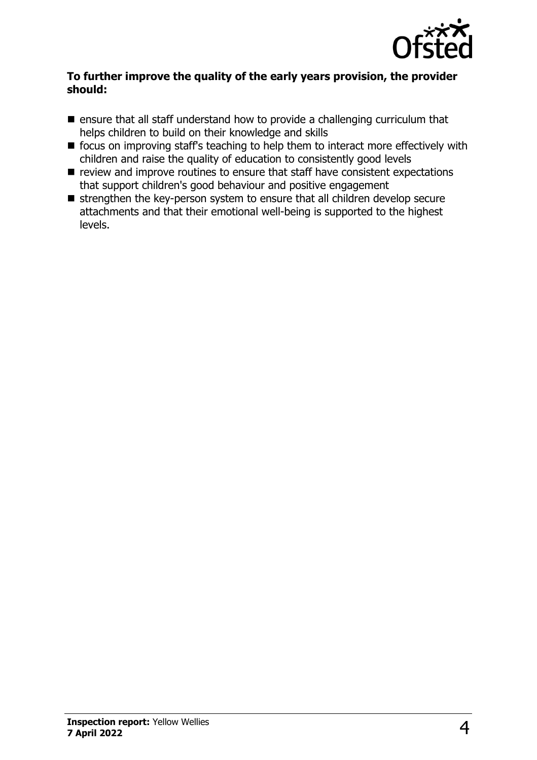

#### **To further improve the quality of the early years provision, the provider should:**

- $\blacksquare$  ensure that all staff understand how to provide a challenging curriculum that helps children to build on their knowledge and skills
- $\blacksquare$  focus on improving staff's teaching to help them to interact more effectively with children and raise the quality of education to consistently good levels
- $\blacksquare$  review and improve routines to ensure that staff have consistent expectations that support children's good behaviour and positive engagement
- $\blacksquare$  strengthen the key-person system to ensure that all children develop secure attachments and that their emotional well-being is supported to the highest levels.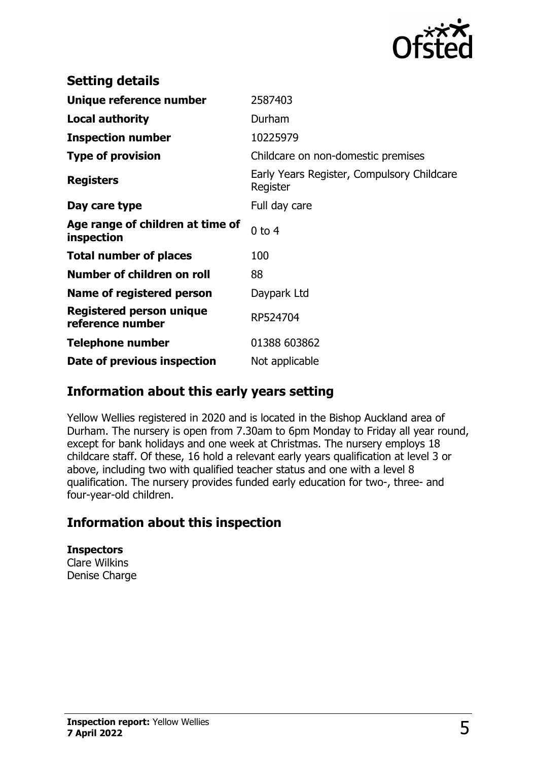

| <b>Setting details</b>                              |                                                        |
|-----------------------------------------------------|--------------------------------------------------------|
| Unique reference number                             | 2587403                                                |
| <b>Local authority</b>                              | Durham                                                 |
| <b>Inspection number</b>                            | 10225979                                               |
| <b>Type of provision</b>                            | Childcare on non-domestic premises                     |
| <b>Registers</b>                                    | Early Years Register, Compulsory Childcare<br>Register |
| Day care type                                       | Full day care                                          |
| Age range of children at time of<br>inspection      | $0$ to $4$                                             |
| <b>Total number of places</b>                       | 100                                                    |
| Number of children on roll                          | 88                                                     |
| Name of registered person                           | Daypark Ltd                                            |
| <b>Registered person unique</b><br>reference number | RP524704                                               |
| <b>Telephone number</b>                             | 01388 603862                                           |
| Date of previous inspection                         | Not applicable                                         |

## **Information about this early years setting**

Yellow Wellies registered in 2020 and is located in the Bishop Auckland area of Durham. The nursery is open from 7.30am to 6pm Monday to Friday all year round, except for bank holidays and one week at Christmas. The nursery employs 18 childcare staff. Of these, 16 hold a relevant early years qualification at level 3 or above, including two with qualified teacher status and one with a level 8 qualification. The nursery provides funded early education for two-, three- and four-year-old children.

# **Information about this inspection**

**Inspectors** Clare Wilkins Denise Charge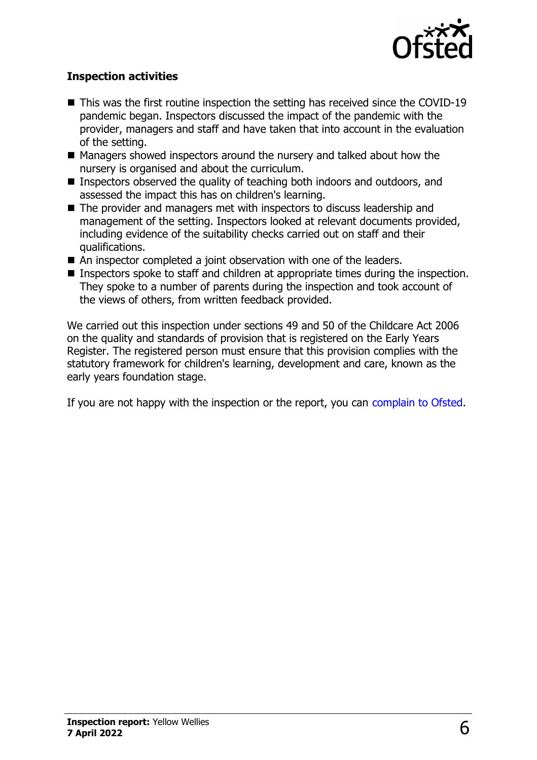

## **Inspection activities**

- $\blacksquare$  This was the first routine inspection the setting has received since the COVID-19 pandemic began. Inspectors discussed the impact of the pandemic with the provider, managers and staff and have taken that into account in the evaluation of the setting.
- Managers showed inspectors around the nursery and talked about how the nursery is organised and about the curriculum.
- Inspectors observed the quality of teaching both indoors and outdoors, and assessed the impact this has on children's learning.
- $\blacksquare$  The provider and managers met with inspectors to discuss leadership and management of the setting. Inspectors looked at relevant documents provided, including evidence of the suitability checks carried out on staff and their qualifications.
- $\blacksquare$  An inspector completed a joint observation with one of the leaders.
- Inspectors spoke to staff and children at appropriate times during the inspection. They spoke to a number of parents during the inspection and took account of the views of others, from written feedback provided.

We carried out this inspection under sections 49 and 50 of the Childcare Act 2006 on the quality and standards of provision that is registered on the Early Years Register. The registered person must ensure that this provision complies with the statutory framework for children's learning, development and care, known as the early years foundation stage.

If you are not happy with the inspection or the report, you can [complain to Ofsted](http://www.gov.uk/complain-ofsted-report).